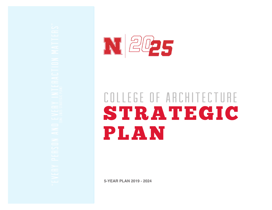

# STRATEGIC PLAN college of architecture

**5-YEAR PLAN 2019 - 2024**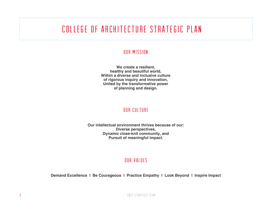### college of architecture strategic plan

#### our Mission

**We create a resilient, healthy and beautiful world, Within a diverse and inclusive culture of rigorous inquiry and innovation, United by the transformative power of planning and design.**

#### our culture

**Our intellectual environment thrives because of our:Diverse perspectives, Dynamic close-knit community, and Pursuit of meaningful impact.**

#### our values

**Demand Excellence | Be Courageous | Practice Empathy | Look Beyond | Inspire Impact**

2025 strategic plan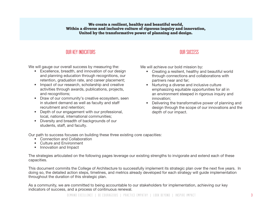#### We create a resilient, healthy and beautiful world, Within a diverse and inclusive culture of rigorous inquiry and innovation, United by the transformative power of planning and design.

#### OUR KEY INDICATORS

We will gauge our overall success by measuring the:

- Excellence, breadth, and innovation of our design and planning education through recognitions, our retention, graduation rate, and career placement;
- Impact of our research, scholarship and creative activities through awards, publications, projects, and recognitions;
- Draw of our community's creative ecosystem, seen in student demand as well as faculty and staff recruitment and retention;
- Depth of our engagement with our professional, local, national, international communities;
- Diversity and breadth of backgrounds of our students, staff, and faculty.

#### **OUR SUCCESS**

We will achieve our bold mission by:

- Creating a resilient, healthy and beautiful world through connections and collaborations with partners near and far;
- Nurturing a diverse and inclusive culture emphasizing equitable opportunities for all in an environment steeped in rigorous inquiry and innovation;
- Delivering the transformative power of planning and design through the scope of our innovations and the depth of our impact.

Our path to success focuses on building these three existing core capacities:

- Connection and Collaboration
- Culture and Environment
- Innovation and Impact

The strategies articulated on the following pages leverage our existing strengths to invigorate and extend each of these capacities.

This document commits the College of Architecture to successfully implement its strategic plan over the next five years. In doing so, the detailed action steps, timelines, and metrics already developed for each strategy will guide implementation throughout the duration of this strategic plan.

As a community, we are committed to being accountable to our stakeholders for implementation, achieving our key indicators of success, and a process of continuous renewal.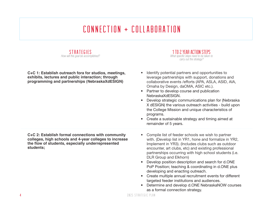# CONNECTION + COLLABORATION



**C+C 1: Establish outreach fora for studios, meetings, exhibits, lectures and public interaction; through programming and partnerships (NebraskaXdESIGN)**

**C+C 2: Establish formal connections with community colleges, high schools and 4-year colleges to increase the fl ow of students, especially underrepresented students;**

1 TO 2 YEAR ACTION STEPSWhat specific steps need to be taken to carry out the strategy?

- Identify potential partners and opportunities to leverage partnerships with support, donations and collaborative events /efforts (APA, ASLA, ASID, AIA, Omaha by Design, daOMA, ASIC etc.).
- Partner to develop course and publication NebraskaXdESIGN.
- Develop strategic communications plan for (Nebraska X dESIGN) the various outreach activities - build upon the College Mission and unique characteristics of programs.
- Create a sustainable strategy and timing aimed at remainder of 5 years.
- Compile list of feeder schools we wish to partner with. (Develop list in YR1, hone and formalize in YR2, Implement in YR3). (Includes clubs such as outdoor encounter, art clubs, etc) and existing professional partnerships occurring with high school students (i.e. DLR Group and Elkhorn)
- Develop position description and search for d.ONE PoP Position; teaching & coordinating in d.ONE plus developing and enacting outreach.
- Create multiple annual recruitment events for different targeted feeder institutions and audiences.
- Determine and develop d.ONE NebraskaNOW courses as a formal connection strategy.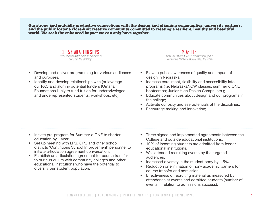Our strong and mutually productive connections with the design and planning communities, university partners, and the public foster a close-knit creative community committed to creating a resilient, healthy and beautiful world. We seek the enhanced impact we can only have together.



- Develop and deliver programming for various audiences and purposes.
- Identify and develop relationships with (or leverage our PAC and alumni) potential funders (Omaha Foundations likely to fund tuition for underpriveleged and underrepresented students, workshops, etc)

- Elevate public awareness of quality and impact of design in Nebraska:
- Increase enrollment, flexibility and accessibility into programs (i.e. NebraskaNOW classes; summer d.ONE bootcamps; Junior High Design Camps; etc.);
- Educate communities about design and our programs in the college;
- Activate curiosity and see potentials of the disciplines;
- Encourage making and innovation;

- Initiate pre-program for Summer d.ONE to shorten education by 1 year.
- Set up meeting with LPS, OPS and other school districts 'Continuous School Improvement' personnel to initiate articulation agreement conversation.
- Establish an articulation agreement for course transfer to our curriculum with community colleges and other educational institutions who have the potential to diversify our student population.
- Three signed and implemented agreements between the College and outside educational institutions.
- 10% of incoming students are admitted from feeder educational institutions.
- Well attended recruiting events by the targeted audiences.
- Increased diversity in the student body by 1.5%.
- Reduction or elimination of non- academic barriers for course transfer and admission.
- Effectiveness of recruiting material as measured by attendance at events and admitted students (number of events in relation to admissions success).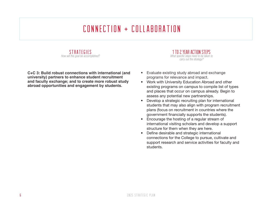## $CONNET$ IION +  $CNIIARORATION$



**C+C 3: Build robust connections with international (and university) partners to enhance student recruitment and faculty exchange; and to create more robust study abroad opportunities and engagement by students.** 

1 TO 2 YEAR ACTION STEPSWhat specific steps need to be taken to carry out the strategy?

- Evaluate existing study abroad and exchange programs for relevance and impact.
- Work with University Education Abroad and other existing programs on campus to compile list of types and places that occur on campus already. Begin to assess any potential new partnerships.
- Develop a strategic recruiting plan for international students that may also align with program recruitment plans (focus on recruitment in countries where the government financially supports the students).
- Encourage the hosting of a regular stream of international visiting scholars and develop a support structure for them when they are here.
- Define desirable and strategic international connections for the College to pursue, cultivate and support research and service activities for faculty and students.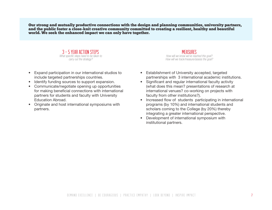Our strong and mutually productive connections with the design and planning communities, university partners, and the public foster a close-knit creative community committed to creating a resilient, healthy and beautiful world. We seek the enhanced impact we can only have together.



- Expand participation in our international studios to include targeted partnerships countries.
- Identify funding sources to support expansion.
- Communicate/negotiate opening up opportunities for making beneficial connections with international partners for students and faculty with University Education Abroad.
- Originate and host international symposiums with partners.

- Establishment of University accepted, targeted partnerships with 3 international academic institutions.
- Significant and regular international faculty activity (what does this mean? presentations of research at international venues? co-working on projects with faculty from other institutions?).
- Increased flow of students participating in international programs (by 10%) and international students and scholars coming to the College (by 20%) thereby integrating a greater international perspective.
- Development of international symposium with institutional partners.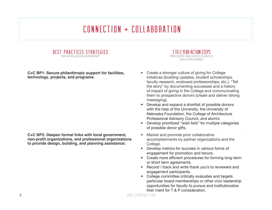# Connection + Collaboration

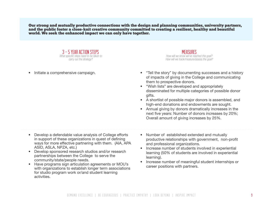Our strong and mutually productive connections with the design and planning communities, university partners, and the public foster a close-knit creative community committed to creating a resilient, healthy and beautiful world. We seek the enhanced impact we can only have together.

> 3 - 5 YEAR ACTION STEPSWhat specific steps need to be taken to carry out the strategy?

• Initiate a comprehensive campaign.

- "Tell the story" by documenting successes and a history of impacts of giving in the College and communicating them to prospective donors.
- "Wish lists" are developed and appropriately disseminated for multiple categories of possible donor gifts.
- A shortlist of possible major donors is assembled, and high-end donations and endowments are sought.
- Annual giving by donors dramatically increases in the next five years: Number of donors increases by 20%; Overall amount of giving increases by 25%.
- Develop a defendable value analysis of College efforts in support of these organizations in quest of defining ways for more effective partnering with them. (AIA, APA ASID, ASLA, NPZA, etc.)
- Develop sponsored research studios and/or research partnerships between the College to serve the community/state/people needs.
- Have programs sign articulation agreements or MOU's with organizations to establish longer term associations for studio program work or/and student learning activities.
- Number of established extended and mutually productive relationships with government, non-profit and professional organizations.
- Increase number of students involved in experiential learning (50% of students are involved in experiential learning).
- Increase number of meaningful student internships or career positions with partners.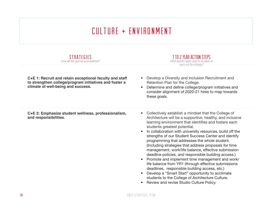### culture + environment

| STRATEGIES<br>How will this goal be accomplished?                                                                                                       | 1 TO 2 YEAR ACTION STEPS<br>What specific steps need to be taken to<br>carry out the strategy?                                                                                                                                                                                                                                                                                                                                                                                                                                                                                                                                                                                                                                                                                                     |
|---------------------------------------------------------------------------------------------------------------------------------------------------------|----------------------------------------------------------------------------------------------------------------------------------------------------------------------------------------------------------------------------------------------------------------------------------------------------------------------------------------------------------------------------------------------------------------------------------------------------------------------------------------------------------------------------------------------------------------------------------------------------------------------------------------------------------------------------------------------------------------------------------------------------------------------------------------------------|
| C+E 1: Recruit and retain exceptional faculty and staff<br>to strengthen college/program initiatives and foster a<br>climate of well-being and success. | Develop a Diversity and Inclusion Recruitment and<br>Retention Plan for the College.<br>Determine and define college/program initiatives and<br>consider alignment of 2020-21 hires to map towards<br>these goals.                                                                                                                                                                                                                                                                                                                                                                                                                                                                                                                                                                                 |
| C+E 2: Emphasize student wellness, professionalism,<br>and responsibilities.                                                                            | Collectively establish a mindset that the College of<br>$\bullet$<br>Architecture will be a supportive, healthy, and inclusive<br>learning environment that identifies and fosters each<br>students greatest potential.<br>In collaboration with university resources, build off the<br>strengths of our Student Success Center and identify<br>programming that addresses the whole student.<br>(Including strategies that address proposals for time<br>management, work/life balance, effective submission<br>deadline policies, and responsible building access.)<br>Promote and implement time management and work/<br>$\bullet$<br>life balance from YR1 (through effective submissions<br>deadlines, responsible building access, etc.)<br>Develop a "Smart Start" opportunity to acclimate |

• Review and revise Studio Culture Policy.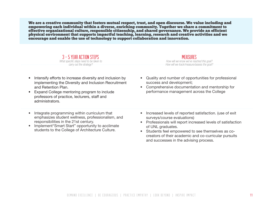We are a creative community that fosters mutual respect, trust, and open discourse. We value including and empowering each individual within a diverse, enriching community. Together we share a commitment to effective organizational culture, responsible citizenship, and shared governance. We provide an efficient physical environment that supports impactful teaching, learning, research and creative activities and we encourage and enable the use of technology to support collaboration and innovation.



- Intensify efforts to increase diversity and inclusion by implementing the Diversity and Inclusion Recruitment and Retention Plan.
- Expand College mentoring program to include professors of practice, lecturers, staff and administrators.
- Integrate programming within curriculum that emphasizes student wellness, professionalism, and responsibilities in the 21st century.
- Implement "Smart Start" opportunity to acclimate students to the College of Architecture Culture.

- Quality and number of opportunities for professional success and development;
- Comprehensive documentation and mentorship for performance management across the College
- Increased levels of reported satisfaction. (use of exit surveys/course evaluations)
- Professionals will report increased levels of satisfaction of UNL graduates.
- Students feel empowered to see themselves as cocreators of their academic and co-curricular pursuits and successes in the advising process.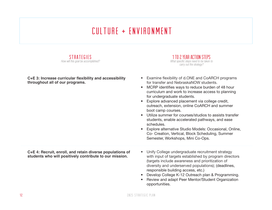### culture + environment



C+E 3: Increase curricular flexibility and accessibility **throughout all of our programs.**

1 TO 2 YEAR ACTION STEPSWhat specific steps need to be taken to carry out the strategy?

- Examine flexibility of d.ONE and CoARCH programs for transfer and NebraskaNOW students.
- MCRP identifies ways to reduce burden of 48 hour curriculum and work to increase access to planning for undergraduate students.
- Explore advanced placement via college credit, outreach, extension, online CoARCH and summer boot camp courses.
- Utilize summer for courses/studios to assists transfer students, enable accelerated pathways, and ease schedules.
- Explore alternative Studio Models: Occasional, Online, Co- Creation, Vertical, Block Scheduling, Summer Semester, Workshops, Mini Co-Ops.

**C+E 4: Recruit, enroll, and retain diverse populations of students who will positively contribute to our mission.**

- Unify College undergraduate recruitment strategy with input of targets established by program directors (targets include awareness and prioritization of diversity and underserved populations); (deadlines, responsible building access, etc.)
- Develop College K-12 Outreach plan & Programming.
- Review and adapt Peer Mentor/Student Organization opportunities.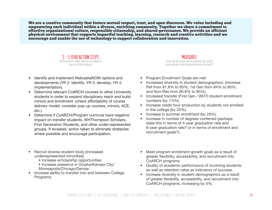We are a creative community that fosters mutual respect, trust, and open discourse. We value including and empowering each individual within a diverse, enriching community. Together we share a commitment to effective organizational culture, responsible citizenship, and shared governance. We provide an efficient physical environment that supports impactful teaching, learning, research and creative activities and we encourage and enable the use of technology to support collaboration and innovation.



- Identify and implement NebraskaNOW options and developments (YR 2: identify; YR 3: develop; YR 4: implementation).
- Determine relevant CoARCH courses to other University students in order to expand disciplinary reach and build minors and enrollment. (check affordability of course delivery model; consider pop-up courses, minors, ACE, etc.)
- Determine if CoARCH/Program curricula have negative impact on transfer students, WHThompson Scholars, First Generation Students, and other under-represented groups. If revealed, action taken to eliminate obstacles where possible and encourage participation.
- Recruit diverse student body (increased underrepresented minorities)
	- Increase scholarship opportunities.
	- Increase presence in Omaha/Kansas City/ Minneapolis/Chicago/Denver.
- Increase ability to transfer into and between College Programs.

- Program Enrollment Goals are met
- Increased diversity in student demographics. (increase Pell from 81.8% to 85%; 1st Gen from 84% to 90%; and Non-Res from 80.8% to 85%).
- Increased transfer (First Gen / WHT) student enrollment numbers (by 7.5%).
- Increase credit hour production by students not enrolled in the college (by 20%).
- Increase in summer enrollment (by 20%).
- Increase in number of degrees conferred (perhaps state this in terms of 4-year graduation rate and 6-year graduation rate? or in terms of enrollment and recruitment goals?).
- Meet program enrollment growth goals as a result of greater flexibility, accessibility, and recruitment into CoARCH programs.
- Quality of academic performance of incoming students as well as retention rates as indicators of success.
- Increase diversity in student demographics as a result of greater flexibility, accessibility, and recruitment into CoARCH programs, increasing by 5%.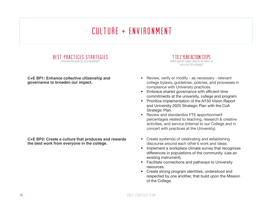### culture + environment

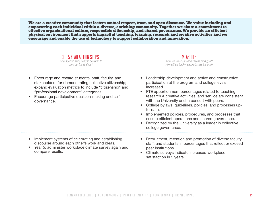We are a creative community that fosters mutual respect, trust, and open discourse. We value including and empowering each individual within a diverse, enriching community. Together we share a commitment to effective organizational culture, responsible citizenship, and shared governance. We provide an efficient physical environment that supports impactful teaching, learning, research and creative activities and we encourage and enable the use of technology to support collaboration and innovation.



- Encourage and reward students, staff, faculty, and stakeholders for demonstrating collective citizenship; expand evaluation metrics to include "citizenship" and "professional development" categories.
- Encourage participative decision-making and self governance.

- Leadership development and active and constructive participation at the program and college levels increased.
- FTE apportionment percentages related to teaching, research & creative activities, and service are consistent with the University and in concert with peers.
- College bylaws, guidelines, policies, and processes upto-date.
- Implemented policies, procedures, and processes that ensure efficient operations and shared governance.
- Recognized by the University as a leader in collective college governance.
- Implement systems of celebrating and establishing discourse around each other's work and ideas.
- Year 5: administer workplace climate survey again and compare results.
- Recruitment, retention and promotion of diverse faculty, staff, and students in percentages that reflect or exceed peer institutions.
- Climate surveys indicate increased workplace satisfaction in 5 years.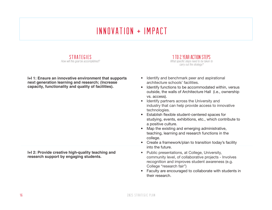### innovation + impact



**I+I 1: Ensure an innovative environment that supports next generation learning and research; (Increase capacity, functionality and quality of facilities).**

**I+I 2: Provide creative high-quality teaching and research support by engaging students.**



- Identify and benchmark peer and aspirational architecture schools' facilities.
- Identify functions to be accommodated within, versus outside, the walls of Architecture Hall (i.e., ownership vs. access).
- Identify partners across the University and industry that can help provide access to innovative technologies.
- Establish flexible student-centered spaces for studying, events, exhibitions, etc., which contribute to a positive culture.
- Map the existing and emerging administrative, teaching, learning and research functions in the college.
- Create a framework/plan to transition today's facility into the future.
- Public presentations, at College, University, community level, of collaborative projects - Involves recognition and improves student awareness (e.g. College "research fair")
- Faculty are encouraged to collaborate with students in their research.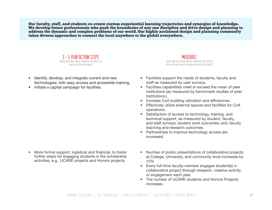Our faculty, staff, and students co-create custom experiential learning trajectories and synergies of knowledge. We develop future professionals who push the boundaries of any one discipline and drive design and planning to address the dynamic and complex problems of our world. Our highly acclaimed design and planning community takes diverse approaches to connect the local anywhere to the global everywhere.



- Identify, develop, and integrate current and new technologies; with easy access and accessible training.
- Initiate a capital campaign for facilities.

- Facilities support the needs of students, faculty and staff as measured by user surveys.
- Facilities capabilities meet or exceed the mean of peer institutions (as measured by benchmark studies of peer institutions.)
- Increase CoA building utilization and efficiencies.
- Effectively utilize external spaces and facilities for CoA operations.
- Satisfaction of access to technology, training, and technical support, as measured by student, faculty, and staff surveys; student work outcomes; and, faculty teaching and research outcomes.
- Partnerships to improve technology access are increased.
- More formal support, logistical and financial, to foster further steps for engaging students in the scholarship activities, e.g., UCARE projects and Honors projects.
- Number of public presentations of collaborative projects at College, University, and community level increases by 10%
- Every full-time faculty member engages student(s) in collaborative project through research, creative activity, or engagement each year.
- The number of UCARE students and Honors Projects increases.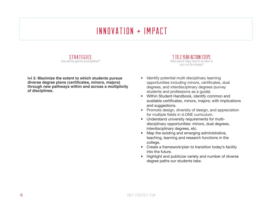### innovation + impact

STRATEGIES How will this goal be accomplished?

**I+I 3: Maximize the extent to which students pursue**  diverse degree plans (certificates, minors, majors) **through new pathways within and across a multiplicity of disciplines.**

1 TO 2 YEAR ACTION STEPSWhat specific steps need to be taken to carry out the strategy?

- Identify potential multi-disciplinary learning opportunities including minors, certificates, dual degrees, and interdisciplinary degrees (survey students and professions as a guide)
- Within Student Handbook, identify common and available certificates, minors, majors; with implications and suggestions.
- Promote design, diversity of design, and appreciation for multiple fields in d.ONE curriculum.
- Understand university requirements for multidisciplinary opportunities: minors, dual degrees, interdisciplinary degrees, etc.
- Map the existing and emerging administrative, teaching, learning and research functions in the college.
- Create a framework/plan to transition today's facility into the future.
- Highlight and publicize variety and number of diverse degree paths our students take.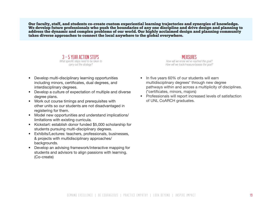Our faculty, staff, and students co-create custom experiential learning trajectories and synergies of knowledge. We develop future professionals who push the boundaries of any one discipline and drive design and planning to address the dynamic and complex problems of our world. Our highly acclaimed design and planning community takes diverse approaches to connect the local anywhere to the global everywhere.



- Develop multi-disciplinary learning opportunities including minors, certificates, dual degrees, and interdisciplinary degrees.
- Develop a culture of expectation of multiple and diverse degree plans.
- Work out course timings and prerequisites with other units so our students are not disadvantaged in registering for them.
- Model new opportunities and understand implications/ limitations with existing curricula.
- Kickstart: establish donor funded \$5,000 scholarship for students pursuing multi-disciplinary degrees.
- Exhibits/Lectures: teachers, professionals, businesses, & projects with multidisciplinary approaches/ backgrounds.
- Develop an advising framework/interactive mapping for students and advisors to align passions with learning. (Co-create)

- In five years 60% of our students will earn multidisciplinary degrees\* through new degree pathways within and across a multiplicity of disciplines. (\*certificates, minors, majors)
- Professionals will report increased levels of satisfaction of UNL CoARCH graduates.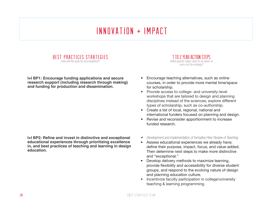### innovation + impact



**I+I BP1: Encourage funding applications and secure research support (including research through making) and funding for production and dissemination.**

**I+I BP2: Refine and invest in distinctive and exceptional educational experiences through prioritizing excellence in, and best practices of teaching and learning in design education.**

1 TO 2 YEAR ACTION STEPSWhat specific steps need to be taken to carry out the strategy?

- Encourage teaching alternatives, such as online courses, in order to provide more mental time/space for scholarship.
- Provide access to college- and university-level workshops that are tailored to design and planning disciplines instead of the sciences; explore different types of scholarship, such as co-authorship.
- Create a list of local, regional, national and international funders focused on planning and design.
- Revise and reconsider apportionment to increase funded research.
- Development and implementation of formative Peer Review of Teaching.
- Assess educational experiences we already have; define their purpose, impact, focus, and value-added. Then determine next steps to make more distinctive and "exceptional."
- Develop delivery methods to maximize learning, provide flexibility and accessibility for diverse student groups, and respond to the evolving nature of design and planning education culture.
- Incentivize faculty participation in college/university teaching & learning programming.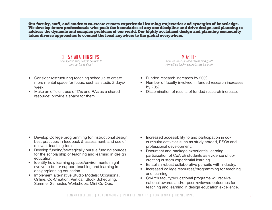Our faculty, staff, and students co-create custom experiential learning trajectories and synergies of knowledge. We develop future professionals who push the boundaries of any one discipline and drive design and planning to address the dynamic and complex problems of our world. Our highly acclaimed design and planning community takes diverse approaches to connect the local anywhere to the global everywhere.



- Consider restructuring teaching schedule to create more mental space for focus, such as studio 2 days/ week.
- Make an efficient use of TAs and RAs as a shared resource; provide a space for them.

- Funded research increases by 20%
- Number of faculty involved in funded research increases by 20%
- Dissemination of results of funded research increase.

- Develop College programming for instructional design, best practices in feedback & assessment, and use of relevant teaching tools.
- Develop funding/strategically pursue funding sources for the scholarship of teaching and learning in design education.
- Identify how learning spaces/environments might evolve to better support teaching and learning in design/planning education.
- Implement alternative Studio Models: Occasional, Online, Co-Creation, Vertical, Block Scheduling, Summer Semester, Workshops, Mini Co-Ops.
- Increased accessibility to and participation in cocurricular activities such as study abroad, RSOs and professional development.
- Document and package experiential learning participation of CoArch students as evidence of cocreating custom experiential learning.
- Establish robust collaborative pursuits with industry.
- Increased college resources/programming for teaching and learning.
- CoArch faculty/educational programs will receive national awards and/or peer-reviewed outcomes for teaching and learning in design education excellence.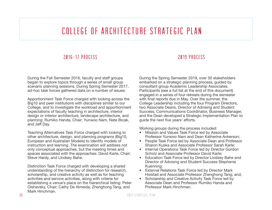#### college of architecture strategic plan

#### 2016-17 PROCESS

During the Fall Semester 2016, faculty and staff groups began to explore topics through a series of small group scenario planning sessions. During Spring Semester 2017, ad-hoc task forces gathered data on a number of issues:

Apportionment Task Force charged with looking across the Big10 and peer institutions with disciplines similar to our College, and to investigate the workload and apportionment expectations of faculty teaching in architecture, interior design or interior architecture, landscape architecture, and planning: Rumiko Handa, Chair; Yunwoo Nam, Nate Bicak, and Jeff Day.

Teaching Alternatives Task Force charged with looking to other architecture, design, and planning programs (Big10, European and Australian Models) to identify models of instruction and learning. The examination will address not only conceptual approaches, but the meeting times and spaces associated with the approaches: David Karle, Chair; Steve Hardy, and LIndsey Bahe.

Distinction Task Force charged with developing a shared understanding of the hierarchy of distinction for research, scholarship, and creative activity as well as for teaching activities and service activities, along with criteria for establishing a venue's place on the hierarchical listing: Peter Olshavsky, Chair; Cathy De Almeida, Zhenghong Tang, and Mark Hinchman.

#### 2019 PROCESS

During the Spring Semester 2019, over 50 stakeholders embarked on a strategic planning process, guided by consultant group Academic Leadership Associates. Participants (see a full list at the end of this document) engaged in a series of four retreats during the semester with final reports due in May. Over the summer, the College Leadership including the four Program Directors, two Associate Deans, Director of Advising and Student Success, Communications Coordinator, Business Manager, and the Dean developed a Strategic Implementation Plan to quide the next five years' efforts.

Working groups during the process included:

- Mission and Values Task Force led by Associate Professor Yunwoo Nam and Dean Katherine Ankerson;
- People Task Force led by Associate Dean and Professor Sharon Kuska and Associate Professor Sarah Karle;
- Internal Operations Task Force led by Director Gordon Scholz and Associate Professor David Karle;
- Education Task Force led by Director Lindsey Bahe and Director of Advising and Student Success Stephanie Kuenning;
- External Relations Task Force led by Director Mark Hoistad and Associate Professor Zhenghong Tang; and,
- Scholarship and Creative Activity Task Force led by Associate Dean and Professor Rumiko Handa and Professor Mark Hinchman.